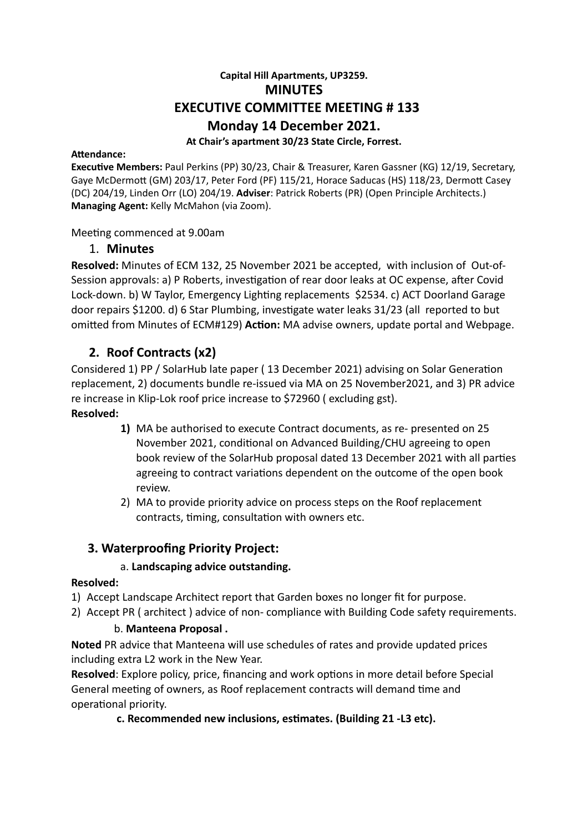# **Capital Hill Apartments, UP3259. MINUTES EXECUTIVE COMMITTEE MEETING # 133 Monday 14 December 2021. At Chair's apartment 30/23 State Circle, Forrest.**

#### **Attendance:**

**Executive Members: Paul Perkins (PP) 30/23, Chair & Treasurer, Karen Gassner (KG) 12/19, Secretary,** Gaye McDermott (GM) 203/17, Peter Ford (PF) 115/21, Horace Saducas (HS) 118/23, Dermott Casey (DC) 204/19, Linden Orr (LO) 204/19. **Adviser**: Patrick Roberts (PR) (Open Principle Architects.) **Managing Agent:** Kelly McMahon (via Zoom).

Meeting commenced at 9.00am

## 1. **Minutes**

**Resolved:** Minutes of ECM 132, 25 November 2021 be accepted, with inclusion of Out-of-Session approvals: a) P Roberts, investigation of rear door leaks at OC expense, after Covid Lock-down. b) W Taylor, Emergency Lighting replacements \$2534. c) ACT Doorland Garage door repairs \$1200, d) 6 Star Plumbing, investigate water leaks 31/23 (all reported to but omitted from Minutes of ECM#129) **Action:** MA advise owners, update portal and Webpage.

# **2. Roof Contracts (x2)**

Considered 1) PP / SolarHub late paper (13 December 2021) advising on Solar Generation replacement, 2) documents bundle re-issued via MA on 25 November2021, and 3) PR advice re increase in Klip-Lok roof price increase to \$72960 ( excluding gst).

### **Resolved:**

- **1)** MA be authorised to execute Contract documents, as re- presented on 25 November 2021, conditional on Advanced Building/CHU agreeing to open book review of the SolarHub proposal dated 13 December 2021 with all parties agreeing to contract variations dependent on the outcome of the open book review.
- 2) MA to provide priority advice on process steps on the Roof replacement contracts, timing, consultation with owners etc.

## **3. Waterproofing Priority Project:**

## a. **Landscaping advice outstanding.**

#### **Resolved:**

- 1) Accept Landscape Architect report that Garden boxes no longer fit for purpose.
- 2) Accept PR ( architect ) advice of non- compliance with Building Code safety requirements.

#### b. **Manteena Proposal .**

**Noted** PR advice that Manteena will use schedules of rates and provide updated prices including extra L2 work in the New Year.

**Resolved**: Explore policy, price, financing and work options in more detail before Special General meeting of owners, as Roof replacement contracts will demand time and operational priority.

## c. Recommended new inclusions, estimates. (Building 21 -L3 etc).